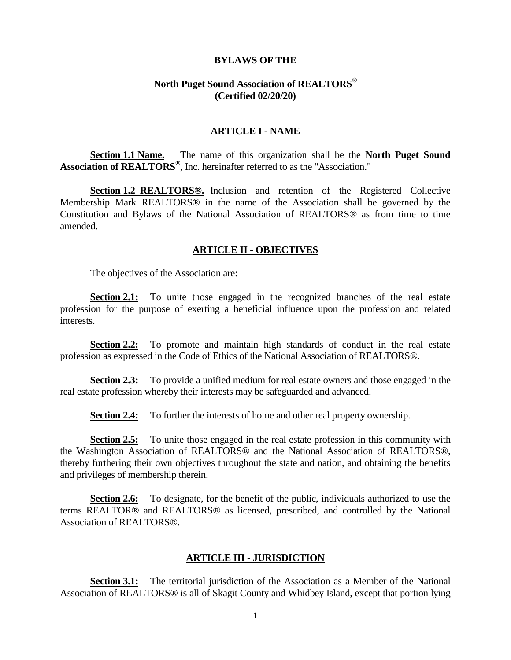#### **BYLAWS OF THE**

#### **North Puget Sound Association of REALTORS® (Certified 02/20/20)**

#### **ARTICLE I - NAME**

**Section 1.1 Name.** The name of this organization shall be the **North Puget Sound Association of REALTORS®** , Inc. hereinafter referred to as the "Association."

**Section 1.2 REALTORS®.** Inclusion and retention of the Registered Collective Membership Mark REALTORS® in the name of the Association shall be governed by the Constitution and Bylaws of the National Association of REALTORS® as from time to time amended.

#### **ARTICLE II - OBJECTIVES**

The objectives of the Association are:

**Section 2.1:** To unite those engaged in the recognized branches of the real estate profession for the purpose of exerting a beneficial influence upon the profession and related interests.

**Section 2.2:** To promote and maintain high standards of conduct in the real estate profession as expressed in the Code of Ethics of the National Association of REALTORS®.

**Section 2.3:** To provide a unified medium for real estate owners and those engaged in the real estate profession whereby their interests may be safeguarded and advanced.

**Section 2.4:** To further the interests of home and other real property ownership.

**Section 2.5:** To unite those engaged in the real estate profession in this community with the Washington Association of REALTORS® and the National Association of REALTORS®, thereby furthering their own objectives throughout the state and nation, and obtaining the benefits and privileges of membership therein.

**Section 2.6:** To designate, for the benefit of the public, individuals authorized to use the terms REALTOR® and REALTORS® as licensed, prescribed, and controlled by the National Association of REALTORS®.

#### **ARTICLE III - JURISDICTION**

**Section 3.1:** The territorial jurisdiction of the Association as a Member of the National Association of REALTORS® is all of Skagit County and Whidbey Island, except that portion lying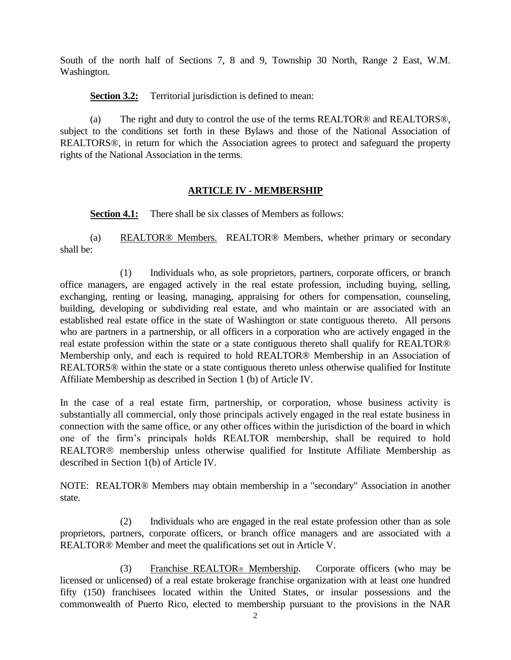South of the north half of Sections 7, 8 and 9, Township 30 North, Range 2 East, W.M. Washington.

**Section 3.2:** Territorial jurisdiction is defined to mean:

(a) The right and duty to control the use of the terms REALTOR® and REALTORS®, subject to the conditions set forth in these Bylaws and those of the National Association of REALTORS®, in return for which the Association agrees to protect and safeguard the property rights of the National Association in the terms.

# **ARTICLE IV - MEMBERSHIP**

**Section 4.1:** There shall be six classes of Members as follows:

(a) REALTOR® Members. REALTOR® Members, whether primary or secondary shall be:

(1) Individuals who, as sole proprietors, partners, corporate officers, or branch office managers, are engaged actively in the real estate profession, including buying, selling, exchanging, renting or leasing, managing, appraising for others for compensation, counseling, building, developing or subdividing real estate, and who maintain or are associated with an established real estate office in the state of Washington or state contiguous thereto. All persons who are partners in a partnership, or all officers in a corporation who are actively engaged in the real estate profession within the state or a state contiguous thereto shall qualify for REALTOR® Membership only, and each is required to hold REALTOR® Membership in an Association of REALTORS<sup>®</sup> within the state or a state contiguous thereto unless otherwise qualified for Institute Affiliate Membership as described in Section 1 (b) of Article IV.

In the case of a real estate firm, partnership, or corporation, whose business activity is substantially all commercial, only those principals actively engaged in the real estate business in connection with the same office, or any other offices within the jurisdiction of the board in which one of the firm's principals holds REALTOR membership, shall be required to hold REALTOR<sup>®</sup> membership unless otherwise qualified for Institute Affiliate Membership as described in Section 1(b) of Article IV.

NOTE: REALTOR® Members may obtain membership in a "secondary" Association in another state.

(2) Individuals who are engaged in the real estate profession other than as sole proprietors, partners, corporate officers, or branch office managers and are associated with a REALTOR® Member and meet the qualifications set out in Article V.

(3) Franchise REALTOR<sup>®</sup> Membership. Corporate officers (who may be licensed or unlicensed) of a real estate brokerage franchise organization with at least one hundred fifty (150) franchisees located within the United States, or insular possessions and the commonwealth of Puerto Rico, elected to membership pursuant to the provisions in the NAR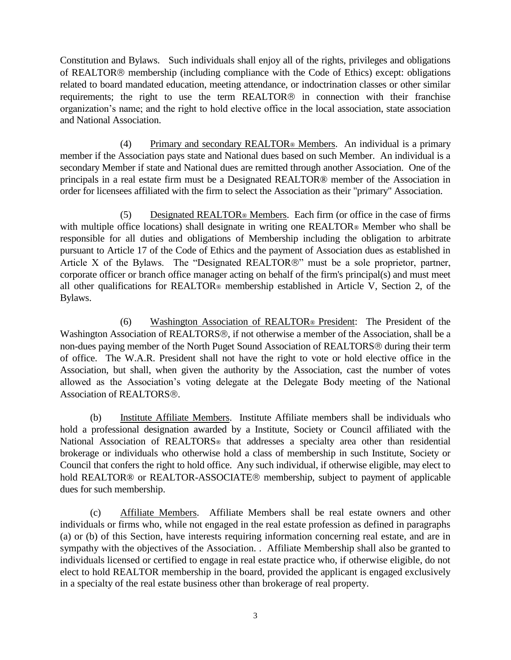Constitution and Bylaws. Such individuals shall enjoy all of the rights, privileges and obligations of REALTOR<sup>®</sup> membership (including compliance with the Code of Ethics) except: obligations related to board mandated education, meeting attendance, or indoctrination classes or other similar requirements; the right to use the term  $REALTOR@$  in connection with their franchise organization's name; and the right to hold elective office in the local association, state association and National Association.

(4) Primary and secondary REALTOR® Members. An individual is a primary member if the Association pays state and National dues based on such Member. An individual is a secondary Member if state and National dues are remitted through another Association. One of the principals in a real estate firm must be a Designated REALTOR® member of the Association in order for licensees affiliated with the firm to select the Association as their "primary" Association.

(5) Designated REALTOR® Members. Each firm (or office in the case of firms with multiple office locations) shall designate in writing one REALTOR<sup>®</sup> Member who shall be responsible for all duties and obligations of Membership including the obligation to arbitrate pursuant to Article 17 of the Code of Ethics and the payment of Association dues as established in Article X of the Bylaws. The "Designated REALTOR $\circledR$ " must be a sole proprietor, partner, corporate officer or branch office manager acting on behalf of the firm's principal(s) and must meet all other qualifications for REALTOR® membership established in Article V, Section 2, of the Bylaws.

(6) Washington Association of REALTOR® President: The President of the Washington Association of REALTORS®, if not otherwise a member of the Association, shall be a non-dues paying member of the North Puget Sound Association of REALTORS<sup>®</sup> during their term of office. The W.A.R. President shall not have the right to vote or hold elective office in the Association, but shall, when given the authority by the Association, cast the number of votes allowed as the Association's voting delegate at the Delegate Body meeting of the National Association of REALTORS<sup>®</sup>.

(b) Institute Affiliate Members. Institute Affiliate members shall be individuals who hold a professional designation awarded by a Institute, Society or Council affiliated with the National Association of REALTORS<sup>®</sup> that addresses a specialty area other than residential brokerage or individuals who otherwise hold a class of membership in such Institute, Society or Council that confers the right to hold office. Any such individual, if otherwise eligible, may elect to hold REALTOR® or REALTOR-ASSOCIATE® membership, subject to payment of applicable dues for such membership.

(c) Affiliate Members. Affiliate Members shall be real estate owners and other individuals or firms who, while not engaged in the real estate profession as defined in paragraphs (a) or (b) of this Section, have interests requiring information concerning real estate, and are in sympathy with the objectives of the Association. . Affiliate Membership shall also be granted to individuals licensed or certified to engage in real estate practice who, if otherwise eligible, do not elect to hold REALTOR membership in the board, provided the applicant is engaged exclusively in a specialty of the real estate business other than brokerage of real property.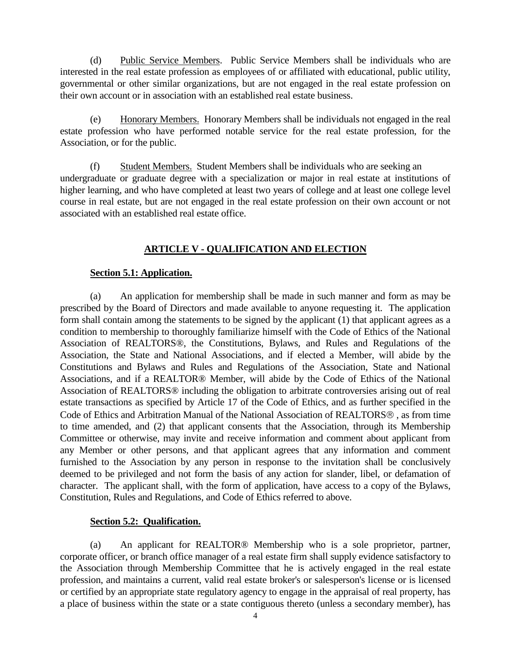(d) Public Service Members. Public Service Members shall be individuals who are interested in the real estate profession as employees of or affiliated with educational, public utility, governmental or other similar organizations, but are not engaged in the real estate profession on their own account or in association with an established real estate business.

(e) Honorary Members. Honorary Members shall be individuals not engaged in the real estate profession who have performed notable service for the real estate profession, for the Association, or for the public.

(f) Student Members. Student Members shall be individuals who are seeking an undergraduate or graduate degree with a specialization or major in real estate at institutions of higher learning, and who have completed at least two years of college and at least one college level course in real estate, but are not engaged in the real estate profession on their own account or not associated with an established real estate office.

# **ARTICLE V - QUALIFICATION AND ELECTION**

# **Section 5.1: Application.**

(a) An application for membership shall be made in such manner and form as may be prescribed by the Board of Directors and made available to anyone requesting it. The application form shall contain among the statements to be signed by the applicant (1) that applicant agrees as a condition to membership to thoroughly familiarize himself with the Code of Ethics of the National Association of REALTORS®, the Constitutions, Bylaws, and Rules and Regulations of the Association, the State and National Associations, and if elected a Member, will abide by the Constitutions and Bylaws and Rules and Regulations of the Association, State and National Associations, and if a REALTOR® Member, will abide by the Code of Ethics of the National Association of REALTORS® including the obligation to arbitrate controversies arising out of real estate transactions as specified by Article 17 of the Code of Ethics, and as further specified in the Code of Ethics and Arbitration Manual of the National Association of REALTORS<sup>®</sup>, as from time to time amended, and (2) that applicant consents that the Association, through its Membership Committee or otherwise, may invite and receive information and comment about applicant from any Member or other persons, and that applicant agrees that any information and comment furnished to the Association by any person in response to the invitation shall be conclusively deemed to be privileged and not form the basis of any action for slander, libel, or defamation of character. The applicant shall, with the form of application, have access to a copy of the Bylaws, Constitution, Rules and Regulations, and Code of Ethics referred to above.

# **Section 5.2: Qualification.**

(a) An applicant for REALTOR® Membership who is a sole proprietor, partner, corporate officer, or branch office manager of a real estate firm shall supply evidence satisfactory to the Association through Membership Committee that he is actively engaged in the real estate profession, and maintains a current, valid real estate broker's or salesperson's license or is licensed or certified by an appropriate state regulatory agency to engage in the appraisal of real property, has a place of business within the state or a state contiguous thereto (unless a secondary member), has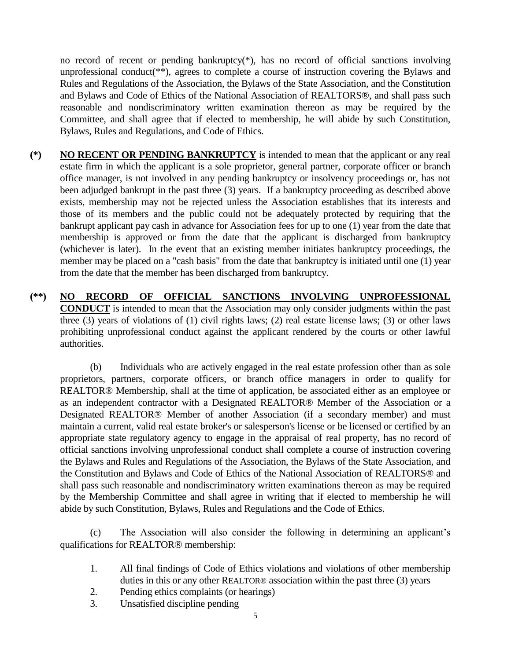no record of recent or pending bankruptcy(\*), has no record of official sanctions involving unprofessional conduct(\*\*), agrees to complete a course of instruction covering the Bylaws and Rules and Regulations of the Association, the Bylaws of the State Association, and the Constitution and Bylaws and Code of Ethics of the National Association of REALTORS®, and shall pass such reasonable and nondiscriminatory written examination thereon as may be required by the Committee, and shall agree that if elected to membership, he will abide by such Constitution, Bylaws, Rules and Regulations, and Code of Ethics.

- **(\*) NO RECENT OR PENDING BANKRUPTCY** is intended to mean that the applicant or any real estate firm in which the applicant is a sole proprietor, general partner, corporate officer or branch office manager, is not involved in any pending bankruptcy or insolvency proceedings or, has not been adjudged bankrupt in the past three (3) years. If a bankruptcy proceeding as described above exists, membership may not be rejected unless the Association establishes that its interests and those of its members and the public could not be adequately protected by requiring that the bankrupt applicant pay cash in advance for Association fees for up to one (1) year from the date that membership is approved or from the date that the applicant is discharged from bankruptcy (whichever is later). In the event that an existing member initiates bankruptcy proceedings, the member may be placed on a "cash basis" from the date that bankruptcy is initiated until one (1) year from the date that the member has been discharged from bankruptcy.
- **(\*\*) NO RECORD OF OFFICIAL SANCTIONS INVOLVING UNPROFESSIONAL CONDUCT** is intended to mean that the Association may only consider judgments within the past three (3) years of violations of (1) civil rights laws; (2) real estate license laws; (3) or other laws prohibiting unprofessional conduct against the applicant rendered by the courts or other lawful authorities.

(b) Individuals who are actively engaged in the real estate profession other than as sole proprietors, partners, corporate officers, or branch office managers in order to qualify for REALTOR® Membership, shall at the time of application, be associated either as an employee or as an independent contractor with a Designated REALTOR® Member of the Association or a Designated REALTOR® Member of another Association (if a secondary member) and must maintain a current, valid real estate broker's or salesperson's license or be licensed or certified by an appropriate state regulatory agency to engage in the appraisal of real property, has no record of official sanctions involving unprofessional conduct shall complete a course of instruction covering the Bylaws and Rules and Regulations of the Association, the Bylaws of the State Association, and the Constitution and Bylaws and Code of Ethics of the National Association of REALTORS® and shall pass such reasonable and nondiscriminatory written examinations thereon as may be required by the Membership Committee and shall agree in writing that if elected to membership he will abide by such Constitution, Bylaws, Rules and Regulations and the Code of Ethics.

(c) The Association will also consider the following in determining an applicant's qualifications for REALTOR<sup>®</sup> membership:

- 1. All final findings of Code of Ethics violations and violations of other membership duties in this or any other REALTOR® association within the past three (3) years
- 2. Pending ethics complaints (or hearings)
- 3. Unsatisfied discipline pending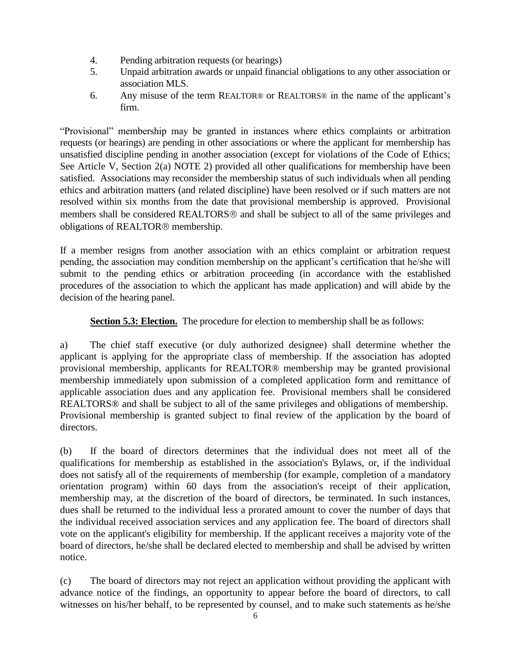- 4. Pending arbitration requests (or hearings)
- 5. Unpaid arbitration awards or unpaid financial obligations to any other association or association MLS.
- 6. Any misuse of the term REALTOR® or REALTORS® in the name of the applicant's firm.

"Provisional" membership may be granted in instances where ethics complaints or arbitration requests (or hearings) are pending in other associations or where the applicant for membership has unsatisfied discipline pending in another association (except for violations of the Code of Ethics; See Article V, Section 2(a) NOTE 2) provided all other qualifications for membership have been satisfied. Associations may reconsider the membership status of such individuals when all pending ethics and arbitration matters (and related discipline) have been resolved or if such matters are not resolved within six months from the date that provisional membership is approved. Provisional members shall be considered REALTORS<sup>®</sup> and shall be subject to all of the same privileges and obligations of REALTOR<sup>®</sup> membership.

If a member resigns from another association with an ethics complaint or arbitration request pending, the association may condition membership on the applicant's certification that he/she will submit to the pending ethics or arbitration proceeding (in accordance with the established procedures of the association to which the applicant has made application) and will abide by the decision of the hearing panel.

**Section 5.3: Election.** The procedure for election to membership shall be as follows:

a) The chief staff executive (or duly authorized designee) shall determine whether the applicant is applying for the appropriate class of membership. If the association has adopted provisional membership, applicants for REALTOR® membership may be granted provisional membership immediately upon submission of a completed application form and remittance of applicable association dues and any application fee. Provisional members shall be considered REALTORS® and shall be subject to all of the same privileges and obligations of membership. Provisional membership is granted subject to final review of the application by the board of directors.

(b) If the board of directors determines that the individual does not meet all of the qualifications for membership as established in the association's Bylaws, or, if the individual does not satisfy all of the requirements of membership (for example, completion of a mandatory orientation program) within 60 days from the association's receipt of their application, membership may, at the discretion of the board of directors, be terminated. In such instances, dues shall be returned to the individual less a prorated amount to cover the number of days that the individual received association services and any application fee. The board of directors shall vote on the applicant's eligibility for membership. If the applicant receives a majority vote of the board of directors, he/she shall be declared elected to membership and shall be advised by written notice.

(c) The board of directors may not reject an application without providing the applicant with advance notice of the findings, an opportunity to appear before the board of directors, to call witnesses on his/her behalf, to be represented by counsel, and to make such statements as he/she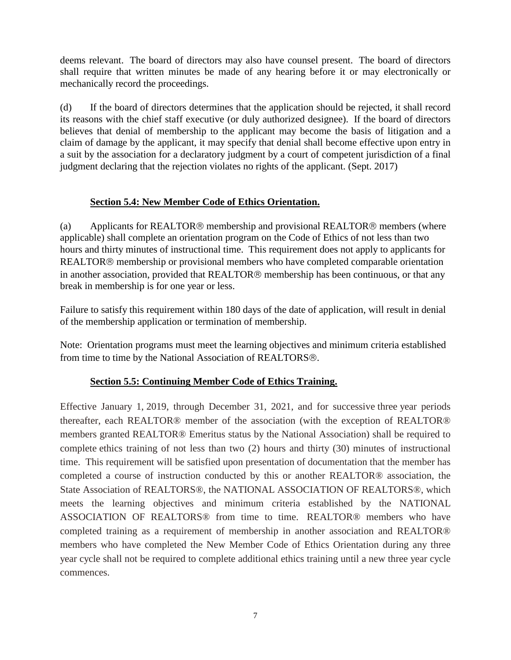deems relevant. The board of directors may also have counsel present. The board of directors shall require that written minutes be made of any hearing before it or may electronically or mechanically record the proceedings.

(d) If the board of directors determines that the application should be rejected, it shall record its reasons with the chief staff executive (or duly authorized designee). If the board of directors believes that denial of membership to the applicant may become the basis of litigation and a claim of damage by the applicant, it may specify that denial shall become effective upon entry in a suit by the association for a declaratory judgment by a court of competent jurisdiction of a final judgment declaring that the rejection violates no rights of the applicant. (Sept. 2017)

# **Section 5.4: New Member Code of Ethics Orientation.**

(a) Applicants for REALTOR<sup>®</sup> membership and provisional REALTOR<sup>®</sup> members (where applicable) shall complete an orientation program on the Code of Ethics of not less than two hours and thirty minutes of instructional time. This requirement does not apply to applicants for REALTOR<sup>®</sup> membership or provisional members who have completed comparable orientation in another association, provided that REALTOR® membership has been continuous, or that any break in membership is for one year or less.

Failure to satisfy this requirement within 180 days of the date of application, will result in denial of the membership application or termination of membership.

Note: Orientation programs must meet the learning objectives and minimum criteria established from time to time by the National Association of REALTORS®.

# **Section 5.5: Continuing Member Code of Ethics Training.**

Effective January 1, 2019, through December 31, 2021, and for successive three year periods thereafter, each REALTOR® member of the association (with the exception of REALTOR® members granted REALTOR® Emeritus status by the National Association) shall be required to complete ethics training of not less than two (2) hours and thirty (30) minutes of instructional time. This requirement will be satisfied upon presentation of documentation that the member has completed a course of instruction conducted by this or another REALTOR® association, the State Association of REALTORS®, the NATIONAL ASSOCIATION OF REALTORS®, which meets the learning objectives and minimum criteria established by the NATIONAL ASSOCIATION OF REALTORS® from time to time. REALTOR® members who have completed training as a requirement of membership in another association and REALTOR® members who have completed the New Member Code of Ethics Orientation during any three year cycle shall not be required to complete additional ethics training until a new three year cycle commences.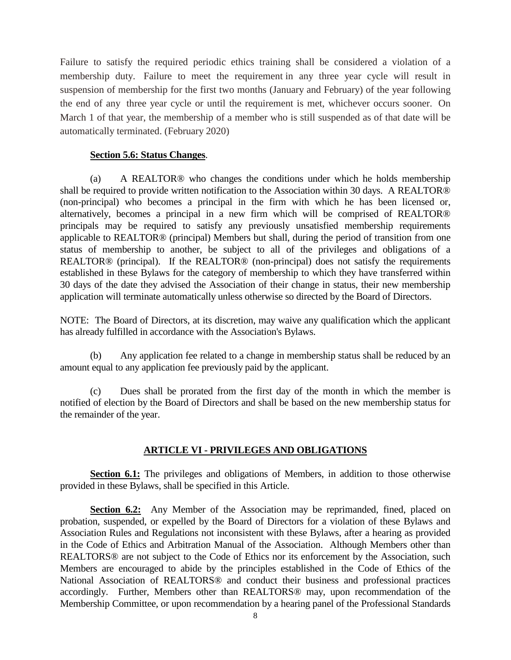Failure to satisfy the required periodic ethics training shall be considered a violation of a membership duty. Failure to meet the requirement in any three year cycle will result in suspension of membership for the first two months (January and February) of the year following the end of any three year cycle or until the requirement is met, whichever occurs sooner. On March 1 of that year, the membership of a member who is still suspended as of that date will be automatically terminated. (February 2020)

## **Section 5.6: Status Changes**.

(a) A REALTOR® who changes the conditions under which he holds membership shall be required to provide written notification to the Association within 30 days. A REALTOR® (non-principal) who becomes a principal in the firm with which he has been licensed or, alternatively, becomes a principal in a new firm which will be comprised of REALTOR® principals may be required to satisfy any previously unsatisfied membership requirements applicable to REALTOR® (principal) Members but shall, during the period of transition from one status of membership to another, be subject to all of the privileges and obligations of a REALTOR® (principal). If the REALTOR® (non-principal) does not satisfy the requirements established in these Bylaws for the category of membership to which they have transferred within 30 days of the date they advised the Association of their change in status, their new membership application will terminate automatically unless otherwise so directed by the Board of Directors.

NOTE: The Board of Directors, at its discretion, may waive any qualification which the applicant has already fulfilled in accordance with the Association's Bylaws.

(b) Any application fee related to a change in membership status shall be reduced by an amount equal to any application fee previously paid by the applicant.

(c) Dues shall be prorated from the first day of the month in which the member is notified of election by the Board of Directors and shall be based on the new membership status for the remainder of the year.

## **ARTICLE VI - PRIVILEGES AND OBLIGATIONS**

**Section 6.1:** The privileges and obligations of Members, in addition to those otherwise provided in these Bylaws, shall be specified in this Article.

**Section 6.2:** Any Member of the Association may be reprimanded, fined, placed on probation, suspended, or expelled by the Board of Directors for a violation of these Bylaws and Association Rules and Regulations not inconsistent with these Bylaws, after a hearing as provided in the Code of Ethics and Arbitration Manual of the Association. Although Members other than REALTORS® are not subject to the Code of Ethics nor its enforcement by the Association, such Members are encouraged to abide by the principles established in the Code of Ethics of the National Association of REALTORS® and conduct their business and professional practices accordingly. Further, Members other than REALTORS® may, upon recommendation of the Membership Committee, or upon recommendation by a hearing panel of the Professional Standards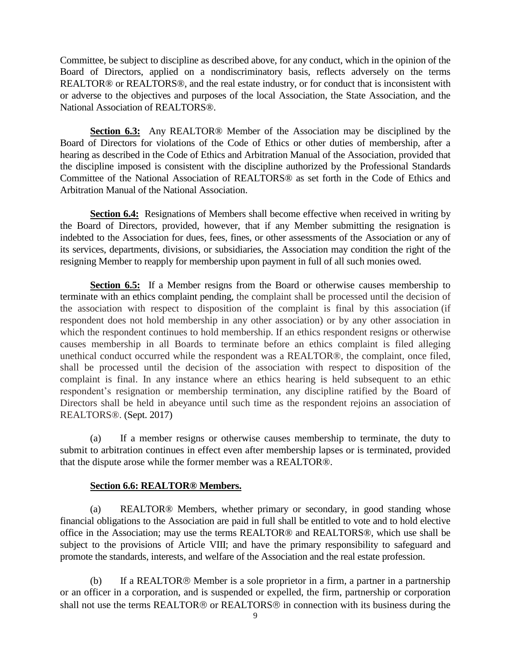Committee, be subject to discipline as described above, for any conduct, which in the opinion of the Board of Directors, applied on a nondiscriminatory basis, reflects adversely on the terms REALTOR® or REALTORS®, and the real estate industry, or for conduct that is inconsistent with or adverse to the objectives and purposes of the local Association, the State Association, and the National Association of REALTORS®.

**Section 6.3:** Any REALTOR® Member of the Association may be disciplined by the Board of Directors for violations of the Code of Ethics or other duties of membership, after a hearing as described in the Code of Ethics and Arbitration Manual of the Association, provided that the discipline imposed is consistent with the discipline authorized by the Professional Standards Committee of the National Association of REALTORS® as set forth in the Code of Ethics and Arbitration Manual of the National Association.

**Section 6.4:** Resignations of Members shall become effective when received in writing by the Board of Directors, provided, however, that if any Member submitting the resignation is indebted to the Association for dues, fees, fines, or other assessments of the Association or any of its services, departments, divisions, or subsidiaries, the Association may condition the right of the resigning Member to reapply for membership upon payment in full of all such monies owed.

**Section 6.5:** If a Member resigns from the Board or otherwise causes membership to terminate with an ethics complaint pending, the complaint shall be processed until the decision of the association with respect to disposition of the complaint is final by this association (if respondent does not hold membership in any other association) or by any other association in which the respondent continues to hold membership. If an ethics respondent resigns or otherwise causes membership in all Boards to terminate before an ethics complaint is filed alleging unethical conduct occurred while the respondent was a REALTOR®, the complaint, once filed, shall be processed until the decision of the association with respect to disposition of the complaint is final. In any instance where an ethics hearing is held subsequent to an ethic respondent's resignation or membership termination, any discipline ratified by the Board of Directors shall be held in abeyance until such time as the respondent rejoins an association of REALTORS®. (Sept. 2017)

(a) If a member resigns or otherwise causes membership to terminate, the duty to submit to arbitration continues in effect even after membership lapses or is terminated, provided that the dispute arose while the former member was a REALTOR®.

## **Section 6.6: REALTOR® Members.**

(a) REALTOR® Members, whether primary or secondary, in good standing whose financial obligations to the Association are paid in full shall be entitled to vote and to hold elective office in the Association; may use the terms REALTOR® and REALTORS®, which use shall be subject to the provisions of Article VIII; and have the primary responsibility to safeguard and promote the standards, interests, and welfare of the Association and the real estate profession.

(b) If a REALTOR  $\circledR$  Member is a sole proprietor in a firm, a partner in a partnership or an officer in a corporation, and is suspended or expelled, the firm, partnership or corporation shall not use the terms REALTOR $\circledR$  or REALTORS $\circledR$  in connection with its business during the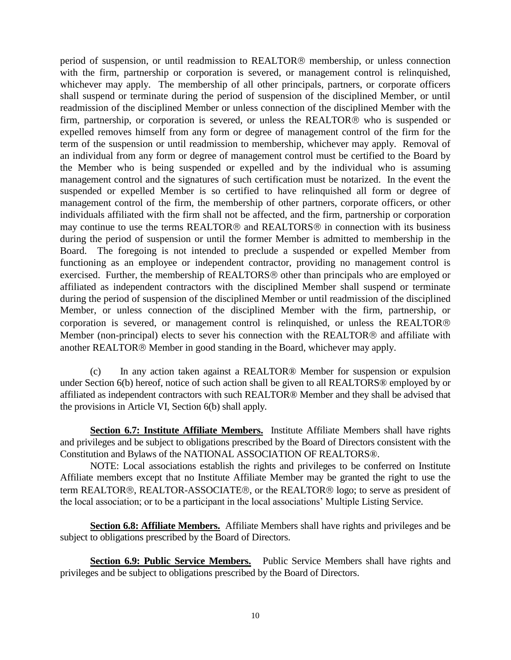period of suspension, or until readmission to REALTOR<sup>®</sup> membership, or unless connection with the firm, partnership or corporation is severed, or management control is relinquished, whichever may apply. The membership of all other principals, partners, or corporate officers shall suspend or terminate during the period of suspension of the disciplined Member, or until readmission of the disciplined Member or unless connection of the disciplined Member with the firm, partnership, or corporation is severed, or unless the REALTOR<sup> $\circledR$ </sup> who is suspended or expelled removes himself from any form or degree of management control of the firm for the term of the suspension or until readmission to membership, whichever may apply. Removal of an individual from any form or degree of management control must be certified to the Board by the Member who is being suspended or expelled and by the individual who is assuming management control and the signatures of such certification must be notarized. In the event the suspended or expelled Member is so certified to have relinquished all form or degree of management control of the firm, the membership of other partners, corporate officers, or other individuals affiliated with the firm shall not be affected, and the firm, partnership or corporation may continue to use the terms REALTOR<sup>®</sup> and REALTORS<sup>®</sup> in connection with its business during the period of suspension or until the former Member is admitted to membership in the Board. The foregoing is not intended to preclude a suspended or expelled Member from functioning as an employee or independent contractor, providing no management control is exercised. Further, the membership of REALTORS<sup>®</sup> other than principals who are employed or affiliated as independent contractors with the disciplined Member shall suspend or terminate during the period of suspension of the disciplined Member or until readmission of the disciplined Member, or unless connection of the disciplined Member with the firm, partnership, or corporation is severed, or management control is relinquished, or unless the REALTOR Member (non-principal) elects to sever his connection with the REALTOR<sup>®</sup> and affiliate with another REALTOR® Member in good standing in the Board, whichever may apply.

(c) In any action taken against a REALTOR® Member for suspension or expulsion under Section 6(b) hereof, notice of such action shall be given to all REALTORS® employed by or affiliated as independent contractors with such REALTOR® Member and they shall be advised that the provisions in Article VI, Section 6(b) shall apply.

**Section 6.7: Institute Affiliate Members.** Institute Affiliate Members shall have rights and privileges and be subject to obligations prescribed by the Board of Directors consistent with the Constitution and Bylaws of the NATIONAL ASSOCIATION OF REALTORS®.

NOTE: Local associations establish the rights and privileges to be conferred on Institute Affiliate members except that no Institute Affiliate Member may be granted the right to use the term REALTOR®, REALTOR-ASSOCIATE®, or the REALTOR® logo; to serve as president of the local association; or to be a participant in the local associations' Multiple Listing Service.

**Section 6.8: Affiliate Members.** Affiliate Members shall have rights and privileges and be subject to obligations prescribed by the Board of Directors.

**Section 6.9: Public Service Members.** Public Service Members shall have rights and privileges and be subject to obligations prescribed by the Board of Directors.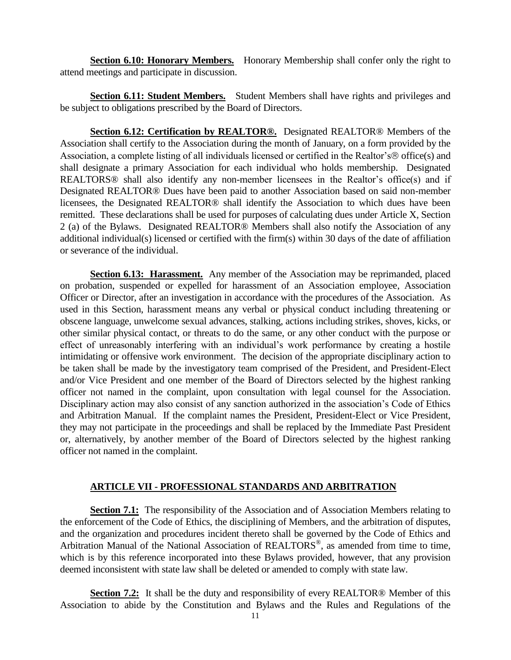**Section 6.10: Honorary Members.** Honorary Membership shall confer only the right to attend meetings and participate in discussion.

**Section 6.11: Student Members.** Student Members shall have rights and privileges and be subject to obligations prescribed by the Board of Directors.

**Section 6.12: Certification by REALTOR®.** Designated REALTOR® Members of the Association shall certify to the Association during the month of January, on a form provided by the Association, a complete listing of all individuals licensed or certified in the Realtor's ® office(s) and shall designate a primary Association for each individual who holds membership. Designated REALTORS<sup>®</sup> shall also identify any non-member licensees in the Realtor's office(s) and if Designated REALTOR® Dues have been paid to another Association based on said non-member licensees, the Designated REALTOR® shall identify the Association to which dues have been remitted. These declarations shall be used for purposes of calculating dues under Article X, Section 2 (a) of the Bylaws. Designated REALTOR® Members shall also notify the Association of any additional individual(s) licensed or certified with the firm(s) within 30 days of the date of affiliation or severance of the individual.

**Section 6.13: Harassment.** Any member of the Association may be reprimanded, placed on probation, suspended or expelled for harassment of an Association employee, Association Officer or Director, after an investigation in accordance with the procedures of the Association. As used in this Section, harassment means any verbal or physical conduct including threatening or obscene language, unwelcome sexual advances, stalking, actions including strikes, shoves, kicks, or other similar physical contact, or threats to do the same, or any other conduct with the purpose or effect of unreasonably interfering with an individual's work performance by creating a hostile intimidating or offensive work environment. The decision of the appropriate disciplinary action to be taken shall be made by the investigatory team comprised of the President, and President-Elect and/or Vice President and one member of the Board of Directors selected by the highest ranking officer not named in the complaint, upon consultation with legal counsel for the Association. Disciplinary action may also consist of any sanction authorized in the association's Code of Ethics and Arbitration Manual. If the complaint names the President, President-Elect or Vice President, they may not participate in the proceedings and shall be replaced by the Immediate Past President or, alternatively, by another member of the Board of Directors selected by the highest ranking officer not named in the complaint.

## **ARTICLE VII - PROFESSIONAL STANDARDS AND ARBITRATION**

**Section 7.1:** The responsibility of the Association and of Association Members relating to the enforcement of the Code of Ethics, the disciplining of Members, and the arbitration of disputes, and the organization and procedures incident thereto shall be governed by the Code of Ethics and Arbitration Manual of the National Association of REALTORS<sup>®</sup>, as amended from time to time, which is by this reference incorporated into these Bylaws provided, however, that any provision deemed inconsistent with state law shall be deleted or amended to comply with state law.

**Section 7.2:** It shall be the duty and responsibility of every REALTOR<sup>®</sup> Member of this Association to abide by the Constitution and Bylaws and the Rules and Regulations of the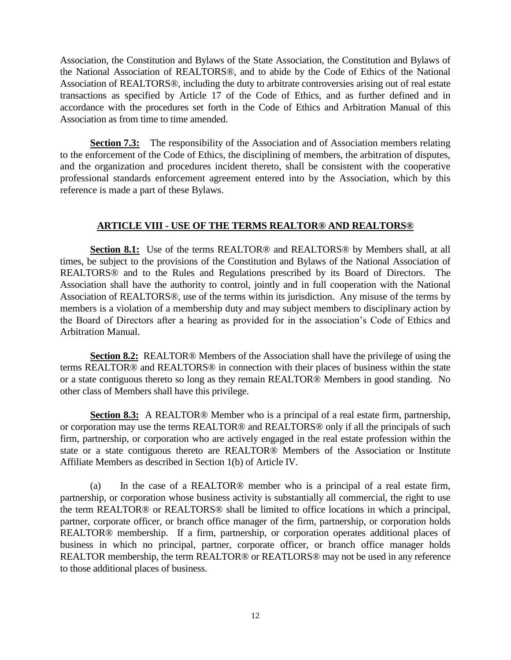Association, the Constitution and Bylaws of the State Association, the Constitution and Bylaws of the National Association of REALTORS®, and to abide by the Code of Ethics of the National Association of REALTORS®, including the duty to arbitrate controversies arising out of real estate transactions as specified by Article 17 of the Code of Ethics, and as further defined and in accordance with the procedures set forth in the Code of Ethics and Arbitration Manual of this Association as from time to time amended.

**Section 7.3:** The responsibility of the Association and of Association members relating to the enforcement of the Code of Ethics, the disciplining of members, the arbitration of disputes, and the organization and procedures incident thereto, shall be consistent with the cooperative professional standards enforcement agreement entered into by the Association, which by this reference is made a part of these Bylaws.

# **ARTICLE VIII - USE OF THE TERMS REALTOR® AND REALTORS®**

**Section 8.1:** Use of the terms REALTOR® and REALTORS® by Members shall, at all times, be subject to the provisions of the Constitution and Bylaws of the National Association of REALTORS® and to the Rules and Regulations prescribed by its Board of Directors. The Association shall have the authority to control, jointly and in full cooperation with the National Association of REALTORS®, use of the terms within its jurisdiction. Any misuse of the terms by members is a violation of a membership duty and may subject members to disciplinary action by the Board of Directors after a hearing as provided for in the association's Code of Ethics and Arbitration Manual.

**Section 8.2:** REALTOR® Members of the Association shall have the privilege of using the terms REALTOR® and REALTORS® in connection with their places of business within the state or a state contiguous thereto so long as they remain REALTOR® Members in good standing. No other class of Members shall have this privilege.

**Section 8.3:** A REALTOR<sup>®</sup> Member who is a principal of a real estate firm, partnership, or corporation may use the terms REALTOR® and REALTORS® only if all the principals of such firm, partnership, or corporation who are actively engaged in the real estate profession within the state or a state contiguous thereto are REALTOR® Members of the Association or Institute Affiliate Members as described in Section 1(b) of Article IV.

(a) In the case of a REALTOR® member who is a principal of a real estate firm, partnership, or corporation whose business activity is substantially all commercial, the right to use the term REALTOR® or REALTORS® shall be limited to office locations in which a principal, partner, corporate officer, or branch office manager of the firm, partnership, or corporation holds REALTOR® membership. If a firm, partnership, or corporation operates additional places of business in which no principal, partner, corporate officer, or branch office manager holds REALTOR membership, the term REALTOR® or REATLORS® may not be used in any reference to those additional places of business.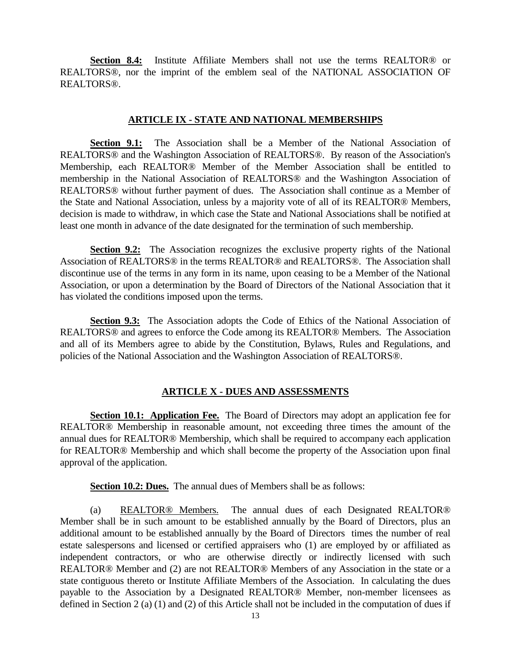**Section 8.4:** Institute Affiliate Members shall not use the terms REALTOR® or REALTORS®, nor the imprint of the emblem seal of the NATIONAL ASSOCIATION OF REALTORS®.

#### **ARTICLE IX - STATE AND NATIONAL MEMBERSHIPS**

**Section 9.1:** The Association shall be a Member of the National Association of REALTORS® and the Washington Association of REALTORS®. By reason of the Association's Membership, each REALTOR® Member of the Member Association shall be entitled to membership in the National Association of REALTORS® and the Washington Association of REALTORS® without further payment of dues. The Association shall continue as a Member of the State and National Association, unless by a majority vote of all of its REALTOR® Members, decision is made to withdraw, in which case the State and National Associations shall be notified at least one month in advance of the date designated for the termination of such membership.

**Section 9.2:** The Association recognizes the exclusive property rights of the National Association of REALTORS® in the terms REALTOR® and REALTORS®. The Association shall discontinue use of the terms in any form in its name, upon ceasing to be a Member of the National Association, or upon a determination by the Board of Directors of the National Association that it has violated the conditions imposed upon the terms.

**Section 9.3:** The Association adopts the Code of Ethics of the National Association of REALTORS® and agrees to enforce the Code among its REALTOR® Members. The Association and all of its Members agree to abide by the Constitution, Bylaws, Rules and Regulations, and policies of the National Association and the Washington Association of REALTORS®.

## **ARTICLE X - DUES AND ASSESSMENTS**

**Section 10.1: Application Fee.** The Board of Directors may adopt an application fee for REALTOR® Membership in reasonable amount, not exceeding three times the amount of the annual dues for REALTOR® Membership, which shall be required to accompany each application for REALTOR® Membership and which shall become the property of the Association upon final approval of the application.

**Section 10.2: Dues.** The annual dues of Members shall be as follows:

(a) REALTOR® Members. The annual dues of each Designated REALTOR® Member shall be in such amount to be established annually by the Board of Directors, plus an additional amount to be established annually by the Board of Directors times the number of real estate salespersons and licensed or certified appraisers who (1) are employed by or affiliated as independent contractors, or who are otherwise directly or indirectly licensed with such REALTOR® Member and (2) are not REALTOR® Members of any Association in the state or a state contiguous thereto or Institute Affiliate Members of the Association. In calculating the dues payable to the Association by a Designated REALTOR® Member, non-member licensees as defined in Section 2 (a) (1) and (2) of this Article shall not be included in the computation of dues if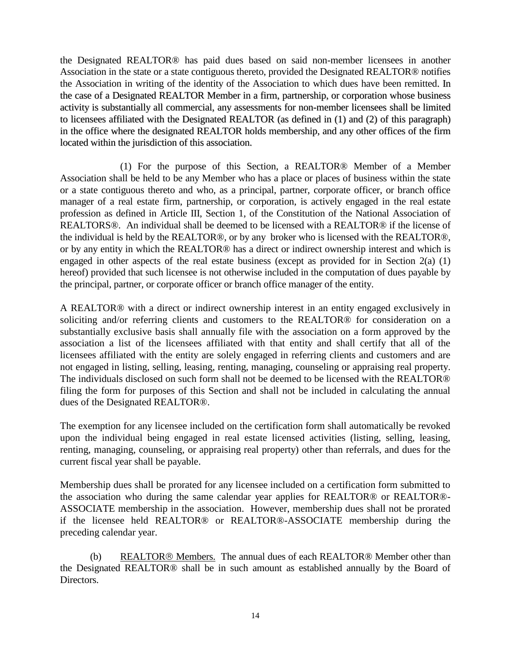the Designated REALTOR® has paid dues based on said non-member licensees in another Association in the state or a state contiguous thereto, provided the Designated REALTOR® notifies the Association in writing of the identity of the Association to which dues have been remitted. In the case of a Designated REALTOR Member in a firm, partnership, or corporation whose business activity is substantially all commercial, any assessments for non-member licensees shall be limited to licensees affiliated with the Designated REALTOR (as defined in (1) and (2) of this paragraph) in the office where the designated REALTOR holds membership, and any other offices of the firm located within the jurisdiction of this association.

(1) For the purpose of this Section, a REALTOR® Member of a Member Association shall be held to be any Member who has a place or places of business within the state or a state contiguous thereto and who, as a principal, partner, corporate officer, or branch office manager of a real estate firm, partnership, or corporation, is actively engaged in the real estate profession as defined in Article III, Section 1, of the Constitution of the National Association of REALTORS®. An individual shall be deemed to be licensed with a REALTOR® if the license of the individual is held by the REALTOR®, or by any broker who is licensed with the REALTOR®, or by any entity in which the REALTOR® has a direct or indirect ownership interest and which is engaged in other aspects of the real estate business (except as provided for in Section  $2(a)$  (1) hereof) provided that such licensee is not otherwise included in the computation of dues payable by the principal, partner, or corporate officer or branch office manager of the entity.

A REALTOR® with a direct or indirect ownership interest in an entity engaged exclusively in soliciting and/or referring clients and customers to the REALTOR® for consideration on a substantially exclusive basis shall annually file with the association on a form approved by the association a list of the licensees affiliated with that entity and shall certify that all of the licensees affiliated with the entity are solely engaged in referring clients and customers and are not engaged in listing, selling, leasing, renting, managing, counseling or appraising real property. The individuals disclosed on such form shall not be deemed to be licensed with the REALTOR® filing the form for purposes of this Section and shall not be included in calculating the annual dues of the Designated REALTOR®.

The exemption for any licensee included on the certification form shall automatically be revoked upon the individual being engaged in real estate licensed activities (listing, selling, leasing, renting, managing, counseling, or appraising real property) other than referrals, and dues for the current fiscal year shall be payable.

Membership dues shall be prorated for any licensee included on a certification form submitted to the association who during the same calendar year applies for REALTOR® or REALTOR®- ASSOCIATE membership in the association. However, membership dues shall not be prorated if the licensee held REALTOR® or REALTOR®-ASSOCIATE membership during the preceding calendar year.

(b) REALTOR<sup>®</sup> Members. The annual dues of each REALTOR<sup>®</sup> Member other than the Designated REALTOR® shall be in such amount as established annually by the Board of Directors.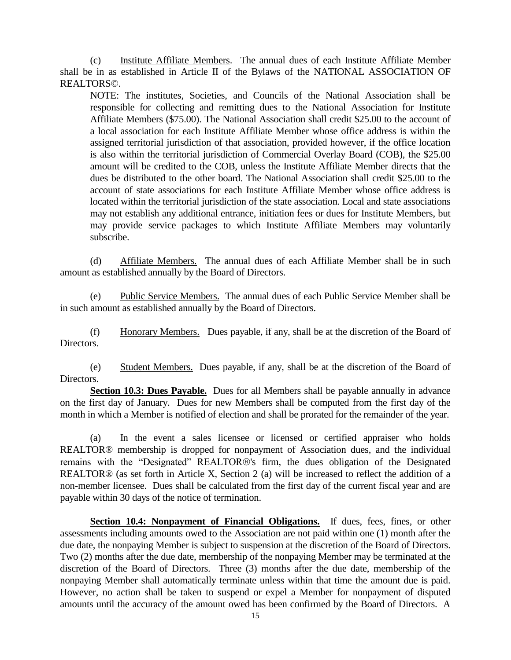(c) Institute Affiliate Members. The annual dues of each Institute Affiliate Member shall be in as established in Article II of the Bylaws of the NATIONAL ASSOCIATION OF REALTORS©.

NOTE: The institutes, Societies, and Councils of the National Association shall be responsible for collecting and remitting dues to the National Association for Institute Affiliate Members (\$75.00). The National Association shall credit \$25.00 to the account of a local association for each Institute Affiliate Member whose office address is within the assigned territorial jurisdiction of that association, provided however, if the office location is also within the territorial jurisdiction of Commercial Overlay Board (COB), the \$25.00 amount will be credited to the COB, unless the Institute Affiliate Member directs that the dues be distributed to the other board. The National Association shall credit \$25.00 to the account of state associations for each Institute Affiliate Member whose office address is located within the territorial jurisdiction of the state association. Local and state associations may not establish any additional entrance, initiation fees or dues for Institute Members, but may provide service packages to which Institute Affiliate Members may voluntarily subscribe.

(d) Affiliate Members. The annual dues of each Affiliate Member shall be in such amount as established annually by the Board of Directors.

(e) Public Service Members. The annual dues of each Public Service Member shall be in such amount as established annually by the Board of Directors.

(f) Honorary Members. Dues payable, if any, shall be at the discretion of the Board of Directors.

(e) Student Members. Dues payable, if any, shall be at the discretion of the Board of Directors.

**Section 10.3: Dues Payable.** Dues for all Members shall be payable annually in advance on the first day of January. Dues for new Members shall be computed from the first day of the month in which a Member is notified of election and shall be prorated for the remainder of the year.

(a) In the event a sales licensee or licensed or certified appraiser who holds REALTOR® membership is dropped for nonpayment of Association dues, and the individual remains with the "Designated" REALTOR®'s firm, the dues obligation of the Designated REALTOR® (as set forth in Article X, Section 2 (a) will be increased to reflect the addition of a non-member licensee. Dues shall be calculated from the first day of the current fiscal year and are payable within 30 days of the notice of termination.

**Section 10.4: Nonpayment of Financial Obligations.** If dues, fees, fines, or other assessments including amounts owed to the Association are not paid within one (1) month after the due date, the nonpaying Member is subject to suspension at the discretion of the Board of Directors. Two (2) months after the due date, membership of the nonpaying Member may be terminated at the discretion of the Board of Directors. Three (3) months after the due date, membership of the nonpaying Member shall automatically terminate unless within that time the amount due is paid. However, no action shall be taken to suspend or expel a Member for nonpayment of disputed amounts until the accuracy of the amount owed has been confirmed by the Board of Directors. A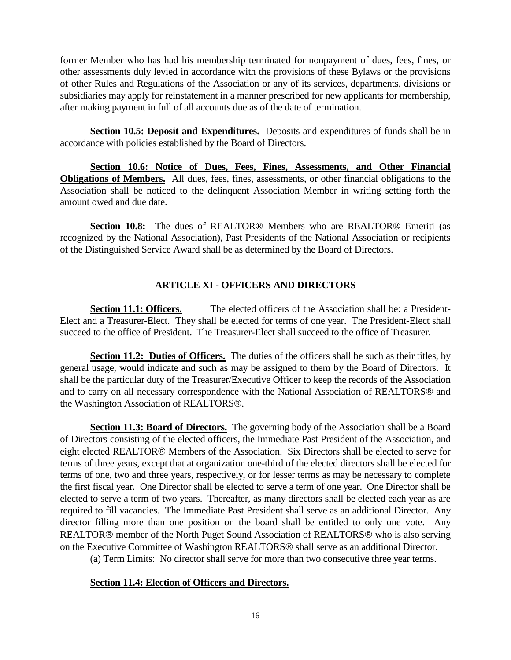former Member who has had his membership terminated for nonpayment of dues, fees, fines, or other assessments duly levied in accordance with the provisions of these Bylaws or the provisions of other Rules and Regulations of the Association or any of its services, departments, divisions or subsidiaries may apply for reinstatement in a manner prescribed for new applicants for membership, after making payment in full of all accounts due as of the date of termination.

**Section 10.5: Deposit and Expenditures.** Deposits and expenditures of funds shall be in accordance with policies established by the Board of Directors.

**Section 10.6: Notice of Dues, Fees, Fines, Assessments, and Other Financial Obligations of Members.** All dues, fees, fines, assessments, or other financial obligations to the Association shall be noticed to the delinquent Association Member in writing setting forth the amount owed and due date.

**Section 10.8:** The dues of REALTOR® Members who are REALTOR® Emeriti (as recognized by the National Association), Past Presidents of the National Association or recipients of the Distinguished Service Award shall be as determined by the Board of Directors.

# **ARTICLE XI - OFFICERS AND DIRECTORS**

**Section 11.1: Officers.** The elected officers of the Association shall be: a President-Elect and a Treasurer-Elect. They shall be elected for terms of one year. The President-Elect shall succeed to the office of President. The Treasurer-Elect shall succeed to the office of Treasurer.

**Section 11.2: Duties of Officers.** The duties of the officers shall be such as their titles, by general usage, would indicate and such as may be assigned to them by the Board of Directors. It shall be the particular duty of the Treasurer/Executive Officer to keep the records of the Association and to carry on all necessary correspondence with the National Association of REALTORS® and the Washington Association of REALTORS®.

**Section 11.3: Board of Directors.** The governing body of the Association shall be a Board of Directors consisting of the elected officers, the Immediate Past President of the Association, and eight elected REALTOR<sup>®</sup> Members of the Association. Six Directors shall be elected to serve for terms of three years, except that at organization one-third of the elected directors shall be elected for terms of one, two and three years, respectively, or for lesser terms as may be necessary to complete the first fiscal year. One Director shall be elected to serve a term of one year. One Director shall be elected to serve a term of two years. Thereafter, as many directors shall be elected each year as are required to fill vacancies. The Immediate Past President shall serve as an additional Director. Any director filling more than one position on the board shall be entitled to only one vote. Any REALTOR<sup>®</sup> member of the North Puget Sound Association of REALTORS<sup>®</sup> who is also serving on the Executive Committee of Washington REALTORS<sup>®</sup> shall serve as an additional Director.

(a) Term Limits: No director shall serve for more than two consecutive three year terms.

## **Section 11.4: Election of Officers and Directors.**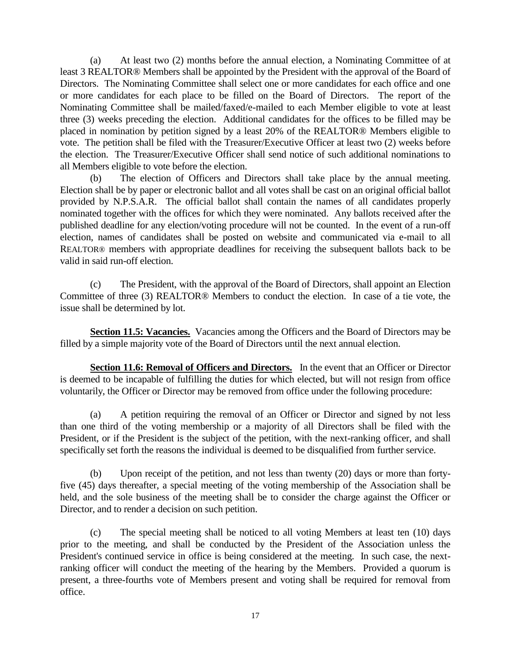(a) At least two (2) months before the annual election, a Nominating Committee of at least 3 REALTOR® Members shall be appointed by the President with the approval of the Board of Directors. The Nominating Committee shall select one or more candidates for each office and one or more candidates for each place to be filled on the Board of Directors. The report of the Nominating Committee shall be mailed/faxed/e-mailed to each Member eligible to vote at least three (3) weeks preceding the election. Additional candidates for the offices to be filled may be placed in nomination by petition signed by a least 20% of the REALTOR® Members eligible to vote. The petition shall be filed with the Treasurer/Executive Officer at least two (2) weeks before the election. The Treasurer/Executive Officer shall send notice of such additional nominations to all Members eligible to vote before the election.

(b) The election of Officers and Directors shall take place by the annual meeting. Election shall be by paper or electronic ballot and all votes shall be cast on an original official ballot provided by N.P.S.A.R. The official ballot shall contain the names of all candidates properly nominated together with the offices for which they were nominated. Any ballots received after the published deadline for any election/voting procedure will not be counted. In the event of a run-off election, names of candidates shall be posted on website and communicated via e-mail to all REALTOR® members with appropriate deadlines for receiving the subsequent ballots back to be valid in said run-off election.

(c) The President, with the approval of the Board of Directors, shall appoint an Election Committee of three (3) REALTOR® Members to conduct the election. In case of a tie vote, the issue shall be determined by lot.

**Section 11.5: Vacancies.** Vacancies among the Officers and the Board of Directors may be filled by a simple majority vote of the Board of Directors until the next annual election.

**Section 11.6: Removal of Officers and Directors.** In the event that an Officer or Director is deemed to be incapable of fulfilling the duties for which elected, but will not resign from office voluntarily, the Officer or Director may be removed from office under the following procedure:

(a) A petition requiring the removal of an Officer or Director and signed by not less than one third of the voting membership or a majority of all Directors shall be filed with the President, or if the President is the subject of the petition, with the next-ranking officer, and shall specifically set forth the reasons the individual is deemed to be disqualified from further service.

(b) Upon receipt of the petition, and not less than twenty (20) days or more than fortyfive (45) days thereafter, a special meeting of the voting membership of the Association shall be held, and the sole business of the meeting shall be to consider the charge against the Officer or Director, and to render a decision on such petition.

(c) The special meeting shall be noticed to all voting Members at least ten (10) days prior to the meeting, and shall be conducted by the President of the Association unless the President's continued service in office is being considered at the meeting. In such case, the nextranking officer will conduct the meeting of the hearing by the Members. Provided a quorum is present, a three-fourths vote of Members present and voting shall be required for removal from office.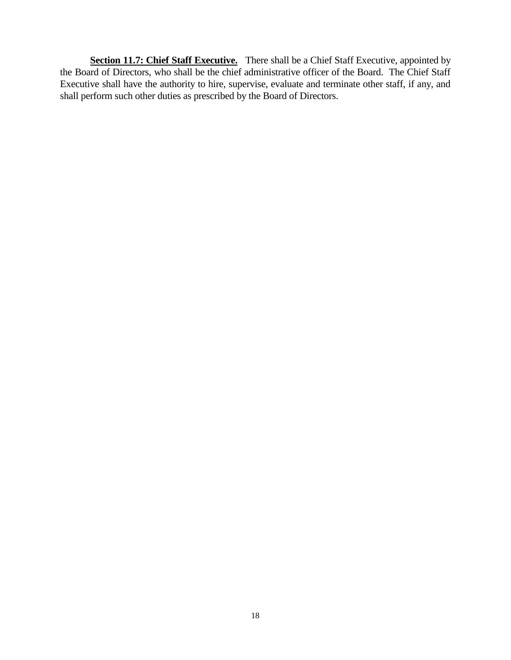Section 11.7: Chief Staff Executive. There shall be a Chief Staff Executive, appointed by the Board of Directors, who shall be the chief administrative officer of the Board. The Chief Staff Executive shall have the authority to hire, supervise, evaluate and terminate other staff, if any, and shall perform such other duties as prescribed by the Board of Directors.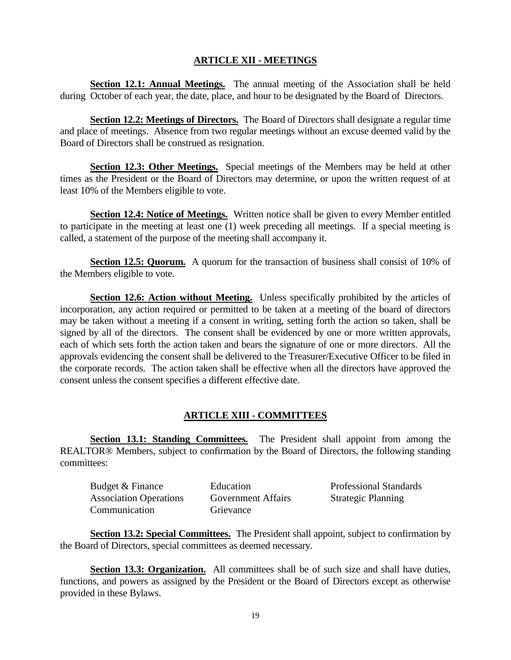# **ARTICLE XII - MEETINGS**

**Section 12.1: Annual Meetings.** The annual meeting of the Association shall be held during October of each year, the date, place, and hour to be designated by the Board of Directors.

**Section 12.2: Meetings of Directors.** The Board of Directors shall designate a regular time and place of meetings. Absence from two regular meetings without an excuse deemed valid by the Board of Directors shall be construed as resignation.

**Section 12.3: Other Meetings.** Special meetings of the Members may be held at other times as the President or the Board of Directors may determine, or upon the written request of at least 10% of the Members eligible to vote.

**Section 12.4: Notice of Meetings.** Written notice shall be given to every Member entitled to participate in the meeting at least one (1) week preceding all meetings. If a special meeting is called, a statement of the purpose of the meeting shall accompany it.

**Section 12.5: Quorum.** A quorum for the transaction of business shall consist of 10% of the Members eligible to vote.

**Section 12.6: Action without Meeting.** Unless specifically prohibited by the articles of incorporation, any action required or permitted to be taken at a meeting of the board of directors may be taken without a meeting if a consent in writing, setting forth the action so taken, shall be signed by all of the directors. The consent shall be evidenced by one or more written approvals, each of which sets forth the action taken and bears the signature of one or more directors. All the approvals evidencing the consent shall be delivered to the Treasurer/Executive Officer to be filed in the corporate records. The action taken shall be effective when all the directors have approved the consent unless the consent specifies a different effective date.

# **ARTICLE XIII - COMMITTEES**

**Section 13.1: Standing Committees.** The President shall appoint from among the REALTOR® Members, subject to confirmation by the Board of Directors, the following standing committees:

| Budget & Finance              | Education                 | <b>Professional Standards</b> |
|-------------------------------|---------------------------|-------------------------------|
| <b>Association Operations</b> | <b>Government Affairs</b> | <b>Strategic Planning</b>     |
| Communication                 | Grievance                 |                               |

**Section 13.2: Special Committees.** The President shall appoint, subject to confirmation by the Board of Directors, special committees as deemed necessary.

**Section 13.3: Organization.** All committees shall be of such size and shall have duties, functions, and powers as assigned by the President or the Board of Directors except as otherwise provided in these Bylaws.